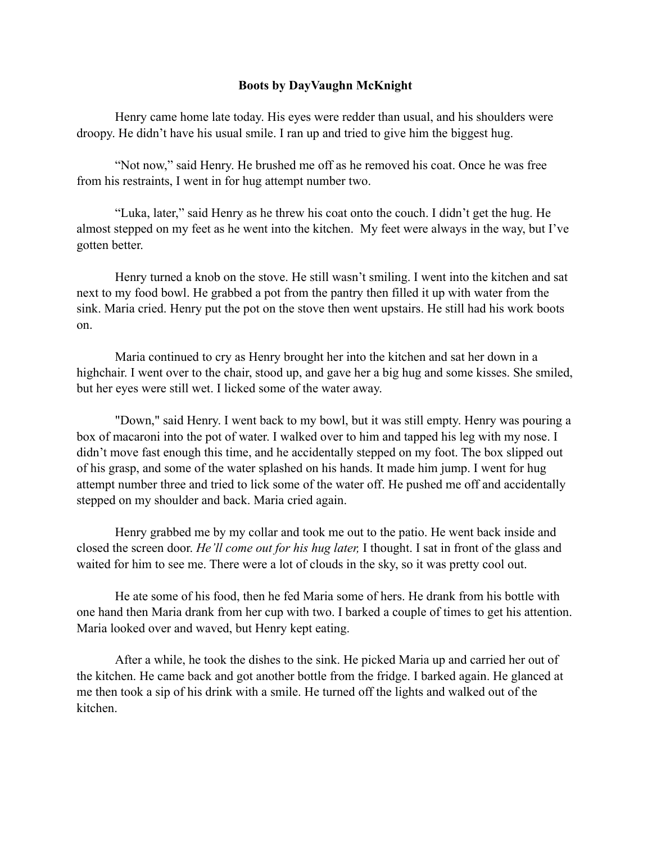## **Boots by DayVaughn McKnight**

Henry came home late today. His eyes were redder than usual, and his shoulders were droopy. He didn't have his usual smile. I ran up and tried to give him the biggest hug.

"Not now," said Henry. He brushed me off as he removed his coat. Once he was free from his restraints, I went in for hug attempt number two.

"Luka, later," said Henry as he threw his coat onto the couch. I didn't get the hug. He almost stepped on my feet as he went into the kitchen. My feet were always in the way, but I've gotten better.

Henry turned a knob on the stove. He still wasn't smiling. I went into the kitchen and sat next to my food bowl. He grabbed a pot from the pantry then filled it up with water from the sink. Maria cried. Henry put the pot on the stove then went upstairs. He still had his work boots on.

Maria continued to cry as Henry brought her into the kitchen and sat her down in a highchair. I went over to the chair, stood up, and gave her a big hug and some kisses. She smiled, but her eyes were still wet. I licked some of the water away.

"Down," said Henry. I went back to my bowl, but it was still empty. Henry was pouring a box of macaroni into the pot of water. I walked over to him and tapped his leg with my nose. I didn't move fast enough this time, and he accidentally stepped on my foot. The box slipped out of his grasp, and some of the water splashed on his hands. It made him jump. I went for hug attempt number three and tried to lick some of the water off. He pushed me off and accidentally stepped on my shoulder and back. Maria cried again.

Henry grabbed me by my collar and took me out to the patio. He went back inside and closed the screen door. *He'll come out for his hug later,* I thought. I sat in front of the glass and waited for him to see me. There were a lot of clouds in the sky, so it was pretty cool out.

He ate some of his food, then he fed Maria some of hers. He drank from his bottle with one hand then Maria drank from her cup with two. I barked a couple of times to get his attention. Maria looked over and waved, but Henry kept eating.

After a while, he took the dishes to the sink. He picked Maria up and carried her out of the kitchen. He came back and got another bottle from the fridge. I barked again. He glanced at me then took a sip of his drink with a smile. He turned off the lights and walked out of the kitchen.